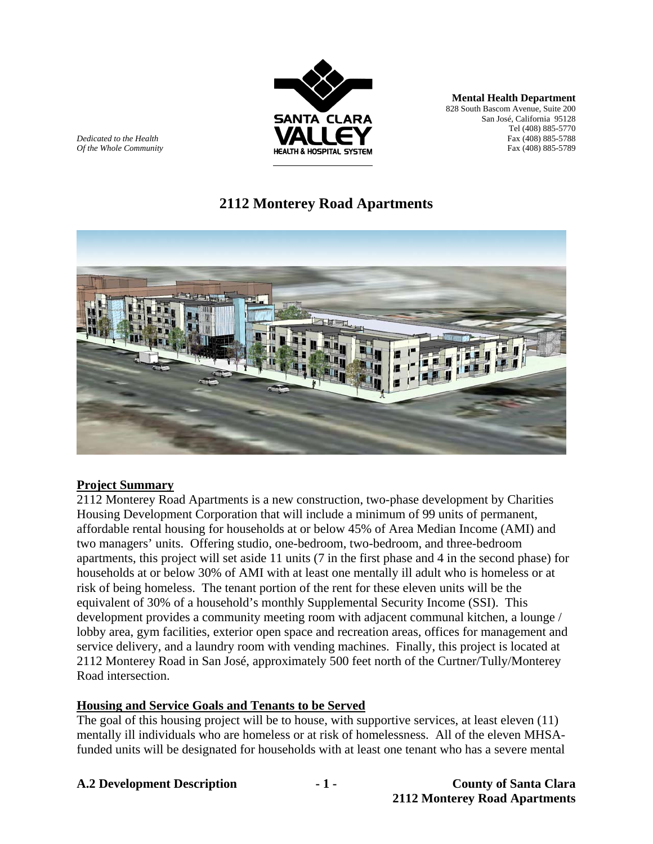

**Mental Health Department** 828 South Bascom Avenue, Suite 200 San José, California 95128 Tel (408) 885-5770 *Dedicated to the Health* Fax (408) 885-5788

# **2112 Monterey Road Apartments**



### **Project Summary**

2112 Monterey Road Apartments is a new construction, two-phase development by Charities Housing Development Corporation that will include a minimum of 99 units of permanent, affordable rental housing for households at or below 45% of Area Median Income (AMI) and two managers' units. Offering studio, one-bedroom, two-bedroom, and three-bedroom apartments, this project will set aside 11 units (7 in the first phase and 4 in the second phase) for households at or below 30% of AMI with at least one mentally ill adult who is homeless or at risk of being homeless. The tenant portion of the rent for these eleven units will be the equivalent of 30% of a household's monthly Supplemental Security Income (SSI). This development provides a community meeting room with adjacent communal kitchen, a lounge / lobby area, gym facilities, exterior open space and recreation areas, offices for management and service delivery, and a laundry room with vending machines. Finally, this project is located at 2112 Monterey Road in San José, approximately 500 feet north of the Curtner/Tully/Monterey Road intersection.

### **Housing and Service Goals and Tenants to be Served**

The goal of this housing project will be to house, with supportive services, at least eleven (11) mentally ill individuals who are homeless or at risk of homelessness. All of the eleven MHSAfunded units will be designated for households with at least one tenant who has a severe mental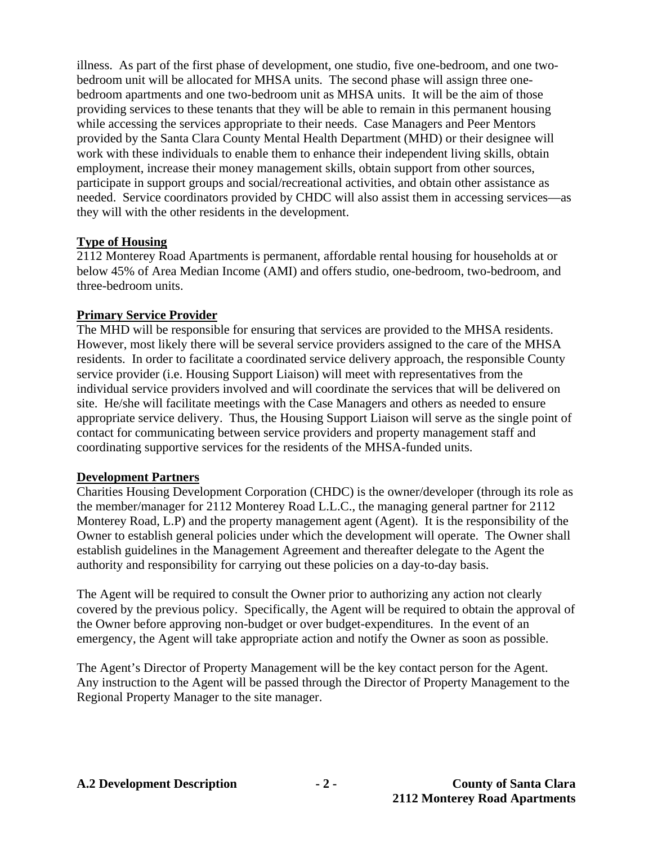illness. As part of the first phase of development, one studio, five one-bedroom, and one twobedroom unit will be allocated for MHSA units. The second phase will assign three onebedroom apartments and one two-bedroom unit as MHSA units. It will be the aim of those providing services to these tenants that they will be able to remain in this permanent housing while accessing the services appropriate to their needs. Case Managers and Peer Mentors provided by the Santa Clara County Mental Health Department (MHD) or their designee will work with these individuals to enable them to enhance their independent living skills, obtain employment, increase their money management skills, obtain support from other sources, participate in support groups and social/recreational activities, and obtain other assistance as needed. Service coordinators provided by CHDC will also assist them in accessing services—as they will with the other residents in the development.

## **Type of Housing**

2112 Monterey Road Apartments is permanent, affordable rental housing for households at or below 45% of Area Median Income (AMI) and offers studio, one-bedroom, two-bedroom, and three-bedroom units.

## **Primary Service Provider**

The MHD will be responsible for ensuring that services are provided to the MHSA residents. However, most likely there will be several service providers assigned to the care of the MHSA residents. In order to facilitate a coordinated service delivery approach, the responsible County service provider (i.e. Housing Support Liaison) will meet with representatives from the individual service providers involved and will coordinate the services that will be delivered on site. He/she will facilitate meetings with the Case Managers and others as needed to ensure appropriate service delivery. Thus, the Housing Support Liaison will serve as the single point of contact for communicating between service providers and property management staff and coordinating supportive services for the residents of the MHSA-funded units.

### **Development Partners**

Charities Housing Development Corporation (CHDC) is the owner/developer (through its role as the member/manager for 2112 Monterey Road L.L.C., the managing general partner for 2112 Monterey Road, L.P) and the property management agent (Agent). It is the responsibility of the Owner to establish general policies under which the development will operate. The Owner shall establish guidelines in the Management Agreement and thereafter delegate to the Agent the authority and responsibility for carrying out these policies on a day-to-day basis.

The Agent will be required to consult the Owner prior to authorizing any action not clearly covered by the previous policy. Specifically, the Agent will be required to obtain the approval of the Owner before approving non-budget or over budget-expenditures. In the event of an emergency, the Agent will take appropriate action and notify the Owner as soon as possible.

The Agent's Director of Property Management will be the key contact person for the Agent. Any instruction to the Agent will be passed through the Director of Property Management to the Regional Property Manager to the site manager.